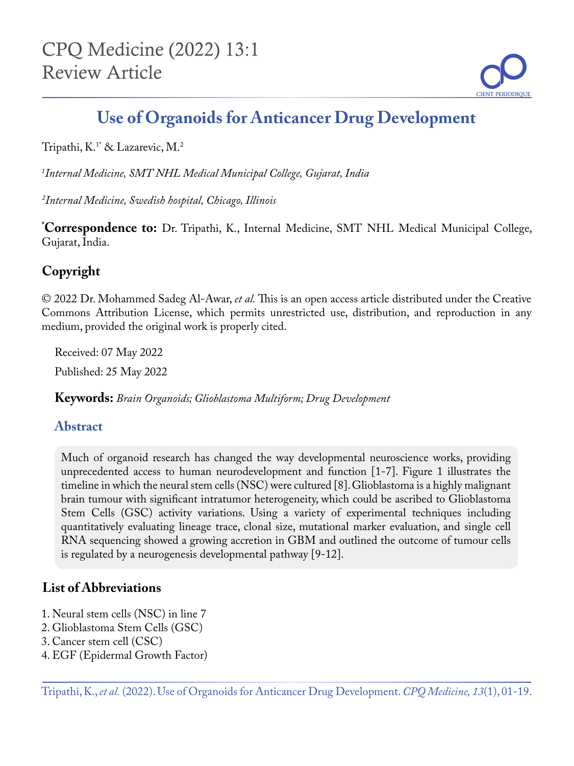

# **Use of Organoids for Anticancer Drug Development**

Tripathi, K.1\* & Lazarevic, M.2

*1 Internal Medicine, SMT NHL Medical Municipal College, Gujarat, India* 

*2 Internal Medicine, Swedish hospital, Chicago, Illinois*

**\* Correspondence to:** Dr. Tripathi, K., Internal Medicine, SMT NHL Medical Municipal College, Gujarat, India.

## **Copyright**

© 2022 Dr. Mohammed Sadeg Al-Awar, *et al.* This is an open access article distributed under the Creative Commons Attribution License, which permits unrestricted use, distribution, and reproduction in any medium, provided the original work is properly cited.

Received: 07 May 2022 Published: 25 May 2022

**Keywords:** *Brain Organoids; Glioblastoma Multiform; Drug Development*

#### **Abstract**

Much of organoid research has changed the way developmental neuroscience works, providing unprecedented access to human neurodevelopment and function [1-7]. Figure 1 illustrates the timeline in which the neural stem cells (NSC) were cultured [8]. Glioblastoma is a highly malignant brain tumour with significant intratumor heterogeneity, which could be ascribed to Glioblastoma Stem Cells (GSC) activity variations. Using a variety of experimental techniques including quantitatively evaluating lineage trace, clonal size, mutational marker evaluation, and single cell RNA sequencing showed a growing accretion in GBM and outlined the outcome of tumour cells is regulated by a neurogenesis developmental pathway [9-12].

## **List of Abbreviations**

- 1. Neural stem cells (NSC) in line 7
- 2. Glioblastoma Stem Cells (GSC)
- 3. Cancer stem cell (CSC)
- 4. EGF (Epidermal Growth Factor)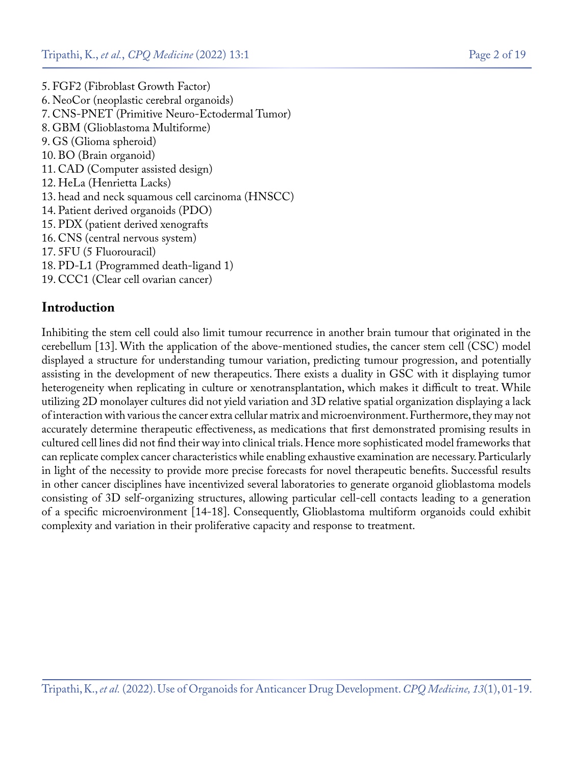5. FGF2 (Fibroblast Growth Factor) 6. NeoCor (neoplastic cerebral organoids) 7. CNS-PNET (Primitive Neuro-Ectodermal Tumor) 8. GBM (Glioblastoma Multiforme) 9. GS (Glioma spheroid) 10. BO (Brain organoid) 11. CAD (Computer assisted design) 12. HeLa (Henrietta Lacks) 13. head and neck squamous cell carcinoma (HNSCC) 14. Patient derived organoids (PDO) 15. PDX (patient derived xenografts 16. CNS (central nervous system) 17. 5FU (5 Fluorouracil) 18. PD-L1 (Programmed death-ligand 1) 19. CCC1 (Clear cell ovarian cancer)

#### **Introduction**

Inhibiting the stem cell could also limit tumour recurrence in another brain tumour that originated in the cerebellum [13]. With the application of the above-mentioned studies, the cancer stem cell (CSC) model displayed a structure for understanding tumour variation, predicting tumour progression, and potentially assisting in the development of new therapeutics. There exists a duality in GSC with it displaying tumor heterogeneity when replicating in culture or xenotransplantation, which makes it difficult to treat. While utilizing 2D monolayer cultures did not yield variation and 3D relative spatial organization displaying a lack of interaction with various the cancer extra cellular matrix and microenvironment. Furthermore, they may not accurately determine therapeutic effectiveness, as medications that first demonstrated promising results in cultured cell lines did not find their way into clinical trials. Hence more sophisticated model frameworks that can replicate complex cancer characteristics while enabling exhaustive examination are necessary. Particularly in light of the necessity to provide more precise forecasts for novel therapeutic benefits. Successful results in other cancer disciplines have incentivized several laboratories to generate organoid glioblastoma models consisting of 3D self-organizing structures, allowing particular cell-cell contacts leading to a generation of a specific microenvironment [14-18]. Consequently, Glioblastoma multiform organoids could exhibit complexity and variation in their proliferative capacity and response to treatment.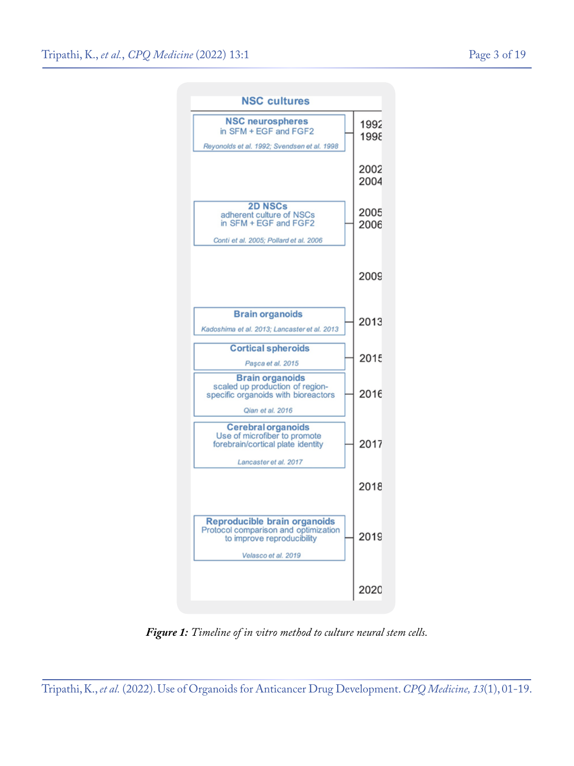

*Figure 1: Timeline of in vitro method to culture neural stem cells.*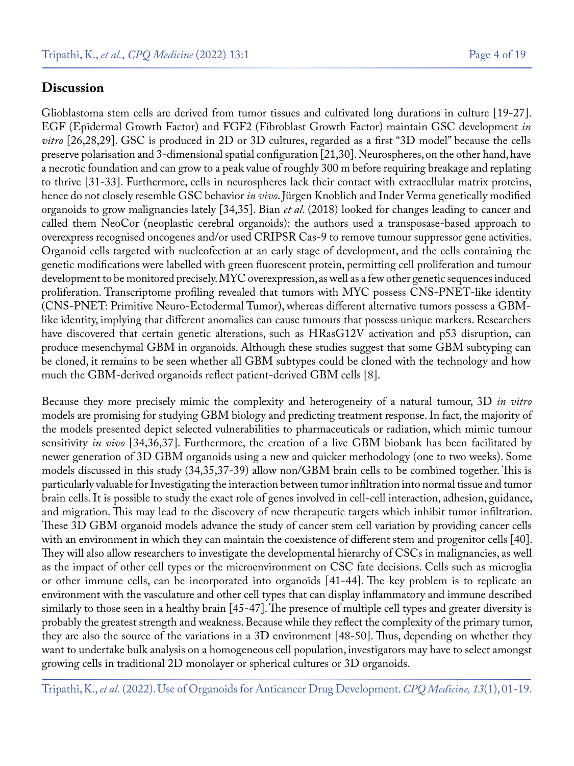#### **Discussion**

Glioblastoma stem cells are derived from tumor tissues and cultivated long durations in culture [19-27]. EGF (Epidermal Growth Factor) and FGF2 (Fibroblast Growth Factor) maintain GSC development *in vitro* [26,28,29]. GSC is produced in 2D or 3D cultures, regarded as a first "3D model" because the cells preserve polarisation and 3-dimensional spatial configuration [21,30]. Neurospheres, on the other hand, have a necrotic foundation and can grow to a peak value of roughly 300 m before requiring breakage and replating to thrive [31-33]. Furthermore, cells in neurospheres lack their contact with extracellular matrix proteins, hence do not closely resemble GSC behavior *in vivo*. Jürgen Knoblich and Inder Verma genetically modified organoids to grow malignancies lately [34,35]. Bian *et al*. (2018) looked for changes leading to cancer and called them NeoCor (neoplastic cerebral organoids): the authors used a transposase-based approach to overexpress recognised oncogenes and/or used CRIPSR Cas-9 to remove tumour suppressor gene activities. Organoid cells targeted with nucleofection at an early stage of development, and the cells containing the genetic modifications were labelled with green fluorescent protein, permitting cell proliferation and tumour development to be monitored precisely. MYC overexpression, as well as a few other genetic sequences induced proliferation. Transcriptome profiling revealed that tumors with MYC possess CNS-PNET-like identity (CNS-PNET: Primitive Neuro-Ectodermal Tumor), whereas different alternative tumors possess a GBMlike identity, implying that different anomalies can cause tumours that possess unique markers. Researchers have discovered that certain genetic alterations, such as HRasG12V activation and p53 disruption, can produce mesenchymal GBM in organoids. Although these studies suggest that some GBM subtyping can be cloned, it remains to be seen whether all GBM subtypes could be cloned with the technology and how much the GBM-derived organoids reflect patient-derived GBM cells [8].

Because they more precisely mimic the complexity and heterogeneity of a natural tumour, 3D *in vitro* models are promising for studying GBM biology and predicting treatment response. In fact, the majority of the models presented depict selected vulnerabilities to pharmaceuticals or radiation, which mimic tumour sensitivity *in vivo* [34,36,37]. Furthermore, the creation of a live GBM biobank has been facilitated by newer generation of 3D GBM organoids using a new and quicker methodology (one to two weeks). Some models discussed in this study (34,35,37-39) allow non/GBM brain cells to be combined together. This is particularly valuable for Investigating the interaction between tumor infiltration into normal tissue and tumor brain cells. It is possible to study the exact role of genes involved in cell-cell interaction, adhesion, guidance, and migration. This may lead to the discovery of new therapeutic targets which inhibit tumor infiltration. These 3D GBM organoid models advance the study of cancer stem cell variation by providing cancer cells with an environment in which they can maintain the coexistence of different stem and progenitor cells [40]. They will also allow researchers to investigate the developmental hierarchy of CSCs in malignancies, as well as the impact of other cell types or the microenvironment on CSC fate decisions. Cells such as microglia or other immune cells, can be incorporated into organoids [41-44]. The key problem is to replicate an environment with the vasculature and other cell types that can display inflammatory and immune described similarly to those seen in a healthy brain [45-47]. The presence of multiple cell types and greater diversity is probably the greatest strength and weakness. Because while they reflect the complexity of the primary tumor, they are also the source of the variations in a 3D environment [48-50]. Thus, depending on whether they want to undertake bulk analysis on a homogeneous cell population, investigators may have to select amongst growing cells in traditional 2D monolayer or spherical cultures or 3D organoids.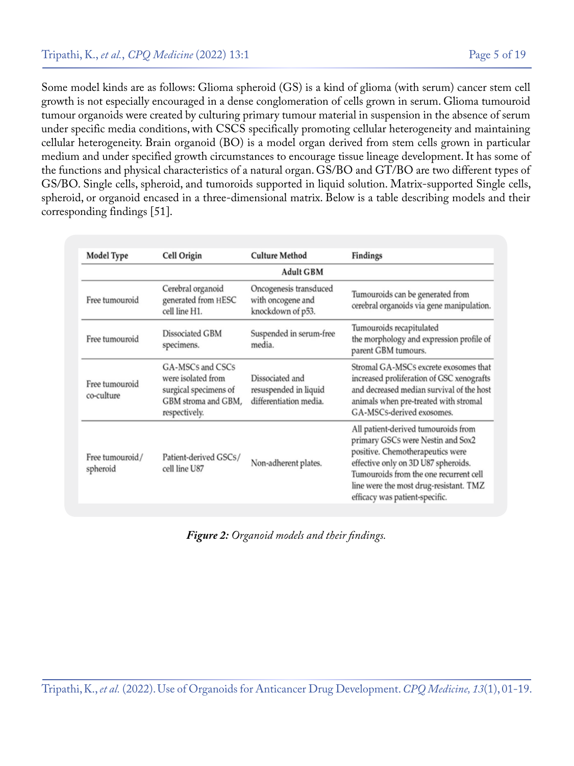Some model kinds are as follows: Glioma spheroid (GS) is a kind of glioma (with serum) cancer stem cell growth is not especially encouraged in a dense conglomeration of cells grown in serum. Glioma tumouroid tumour organoids were created by culturing primary tumour material in suspension in the absence of serum under specific media conditions, with CSCS specifically promoting cellular heterogeneity and maintaining cellular heterogeneity. Brain organoid (BO) is a model organ derived from stem cells grown in particular medium and under specified growth circumstances to encourage tissue lineage development. It has some of the functions and physical characteristics of a natural organ. GS/BO and GT/BO are two different types of GS/BO. Single cells, spheroid, and tumoroids supported in liquid solution. Matrix-supported Single cells, spheroid, or organoid encased in a three-dimensional matrix. Below is a table describing models and their corresponding findings [51].

| <b>Model Type</b>            | Cell Origin                                                                                             | <b>Culture Method</b>                                              | Findings                                                                                                                                                                                                                                                                  |  |
|------------------------------|---------------------------------------------------------------------------------------------------------|--------------------------------------------------------------------|---------------------------------------------------------------------------------------------------------------------------------------------------------------------------------------------------------------------------------------------------------------------------|--|
| <b>Adult GBM</b>             |                                                                                                         |                                                                    |                                                                                                                                                                                                                                                                           |  |
| Free tumouroid               | Cerebral organoid<br>generated from HESC<br>cell line H1.                                               | Oncogenesis transduced<br>with oncogene and<br>knockdown of p53.   | Tumouroids can be generated from<br>cerebral organoids via gene manipulation.                                                                                                                                                                                             |  |
| Free tumouroid               | Dissociated GBM<br>specimens.                                                                           | Suspended in serum-free<br>media.                                  | Tumouroids recapitulated<br>the morphology and expression profile of<br>parent GBM tumours.                                                                                                                                                                               |  |
| Free tumouroid<br>co-culture | GA-MSCs and CSCs<br>were isolated from<br>surgical specimens of<br>GBM stroma and GBM,<br>respectively. | Dissociated and<br>resuspended in liquid<br>differentiation media. | Stromal GA-MSCs excrete exosomes that<br>increased proliferation of GSC xenografts<br>and decreased median survival of the host<br>animals when pre-treated with stromal<br>GA-MSCs-derived exosomes.                                                                     |  |
| Free tumouroid/<br>spheroid  | Patient-derived GSCs/<br>cell line U87                                                                  | Non-adherent plates.                                               | All patient-derived tumouroids from<br>primary GSCs were Nestin and Sox2<br>positive. Chemotherapeutics were<br>effective only on 3D U87 spheroids.<br>Tumouroids from the one recurrent cell<br>line were the most drug-resistant. TMZ<br>efficacy was patient-specific. |  |

*Figure 2: Organoid models and their findings.*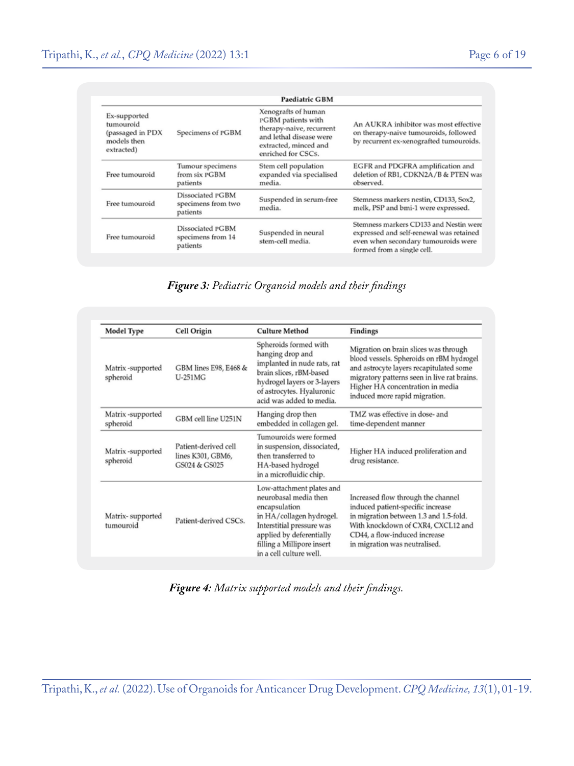|                                                                            |                                                    | <b>Paediatric GBM</b>                                                                                                                           |                                                                                                                                                        |
|----------------------------------------------------------------------------|----------------------------------------------------|-------------------------------------------------------------------------------------------------------------------------------------------------|--------------------------------------------------------------------------------------------------------------------------------------------------------|
| Ex-supported<br>tumouroid<br>(passaged in PDX<br>models then<br>extracted) | Specimens of PGBM                                  | Xenografts of human<br>PGBM patients with<br>therapy-naive, recurrent<br>and lethal disease were<br>extracted, minced and<br>enriched for CSCs. | An AUKRA inhibitor was most effective<br>on therapy-naive tumouroids, followed<br>by recurrent ex-xenografted tumouroids.                              |
| Free tumouroid                                                             | Tumour specimens<br>from six PGBM<br>patients      | Stem cell population<br>expanded via specialised<br>media.                                                                                      | EGFR and PDGFRA amplification and<br>deletion of RB1, CDKN2A/B & PTEN was<br>observed.                                                                 |
| Free tumouroid                                                             | Dissociated PGBM<br>specimens from two<br>patients | Suspended in serum-free<br>media.                                                                                                               | Stemness markers nestin, CD133, Sox2,<br>melk, PSP and bmi-1 were expressed.                                                                           |
| Free tumouroid                                                             | Dissociated PGBM<br>specimens from 14<br>patients  | Suspended in neural<br>stem-cell media.                                                                                                         | Stemness markers CD133 and Nestin were<br>expressed and self-renewal was retained<br>even when secondary tumouroids were<br>formed from a single cell. |

*Figure 3: Pediatric Organoid models and their findings*

| <b>Model Type</b>             | Cell Origin                                                | <b>Culture Method</b>                                                                                                                                                                                             | Findings                                                                                                                                                                                                                                         |
|-------------------------------|------------------------------------------------------------|-------------------------------------------------------------------------------------------------------------------------------------------------------------------------------------------------------------------|--------------------------------------------------------------------------------------------------------------------------------------------------------------------------------------------------------------------------------------------------|
| Matrix-supported<br>spheroid  | GBM lines E98, E468 &<br><b>U-251MG</b>                    | Spheroids formed with<br>hanging drop and<br>implanted in nude rats, rat<br>brain slices, rBM-based<br>hydrogel layers or 3-layers<br>of astrocytes. Hyaluronic<br>acid was added to media.                       | Migration on brain slices was through<br>blood vessels. Spheroids on rBM hydrogel<br>and astrocyte layers recapitulated some<br>migratory patterns seen in live rat brains.<br>Higher HA concentration in media<br>induced more rapid migration. |
| Matrix-supported<br>spheroid  | GBM cell line U251N                                        | Hanging drop then<br>embedded in collagen gel.                                                                                                                                                                    | TMZ was effective in dose- and<br>time-dependent manner                                                                                                                                                                                          |
| Matrix-supported<br>spheroid  | Patient-derived cell<br>lines K301, GBM6,<br>GS024 & GS025 | Tumouroids were formed<br>in suspension, dissociated,<br>then transferred to<br>HA-based hydrogel<br>in a microfluidic chip.                                                                                      | Higher HA induced proliferation and<br>drug resistance.                                                                                                                                                                                          |
| Matrix-supported<br>tumouroid | Patient-derived CSCs.                                      | Low-attachment plates and<br>neurobasal media then<br>encapsulation<br>in HA/collagen hydrogel.<br>Interstitial pressure was<br>applied by deferentially<br>filling a Millipore insert<br>in a cell culture well. | Increased flow through the channel<br>induced patient-specific increase<br>in migration between 1.3 and 1.5-fold.<br>With knockdown of CXR4, CXCL12 and<br>CD44, a flow-induced increase<br>in migration was neutralised.                        |

*Figure 4: Matrix supported models and their findings.*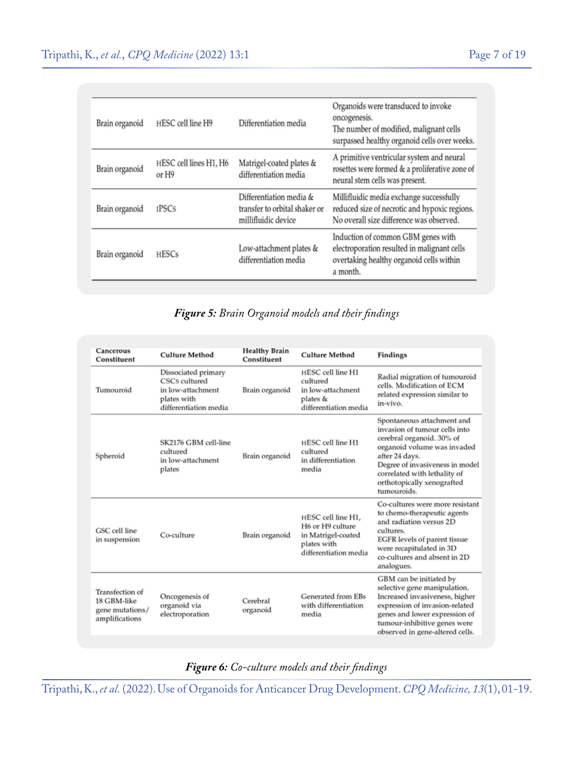| Brain organoid | HESC cell line H9               | Differentiation media                                                           | Organoids were transduced to invoke<br>oncogenesis.<br>The number of modified, malignant cells<br>surpassed healthy organoid cells over weeks. |
|----------------|---------------------------------|---------------------------------------------------------------------------------|------------------------------------------------------------------------------------------------------------------------------------------------|
| Brain organoid | HESC cell lines H1, H6<br>or H9 | Matrigel-coated plates &<br>differentiation media                               | A primitive ventricular system and neural<br>rosettes were formed & a proliferative zone of<br>neural stem cells was present.                  |
| Brain organoid | <b>IPSCs</b>                    | Differentiation media &<br>transfer to orbital shaker or<br>millifluidic device | Millifluidic media exchange successfully<br>reduced size of necrotic and hypoxic regions.<br>No overall size difference was observed.          |
| Brain organoid | <b>HESCs</b>                    | Low-attachment plates &<br>differentiation media                                | Induction of common GBM genes with<br>electroporation resulted in malignant cells<br>overtaking healthy organoid cells within<br>a month.      |

## *Figure 5: Brain Organoid models and their findings*

| Cancerous<br>Constituent                                            | <b>Culture Method</b>                                                                             | <b>Healthy Brain</b><br>Constituent | <b>Culture Method</b>                                                                                | Findings                                                                                                                                                                                                                                                  |
|---------------------------------------------------------------------|---------------------------------------------------------------------------------------------------|-------------------------------------|------------------------------------------------------------------------------------------------------|-----------------------------------------------------------------------------------------------------------------------------------------------------------------------------------------------------------------------------------------------------------|
| Tumouroid                                                           | Dissociated primary<br>CSCs cultured<br>in low-attachment<br>plates with<br>differentiation media | Brain organoid                      | HESC cell line H1<br>cultured<br>in low-attachment<br>plates $&$<br>differentiation media            | Radial migration of tumouroid<br>cells. Modification of ECM<br>related expression similar to<br>in-vivo.                                                                                                                                                  |
| Spheroid                                                            | SK2176 GBM cell-line<br>cultured<br>in low-attachment<br>plates                                   | Brain organoid                      | HESC cell line H1<br>cultured<br>in differentiation<br>media                                         | Spontaneous attachment and<br>invasion of tumour cells into<br>cerebral organoid. 30% of<br>organoid volume was invaded<br>after 24 days.<br>Degree of invasiveness in model<br>correlated with lethality of<br>orthotopically xenografted<br>tumouroids. |
| GSC cell line<br>in suspension                                      | Co-culture                                                                                        | Brain organoid                      | HESC cell line H1.<br>H6 or H9 culture<br>in Matrigel-coated<br>plates with<br>differentiation media | Co-cultures were more resistant<br>to chemo-therapeutic agents<br>and radiation versus 2D<br>cultures.<br>EGFR levels of parent tissue<br>were recapitulated in 3D<br>co-cultures and absent in 2D<br>analogues.                                          |
| Transfection of<br>18 GBM-like<br>gene mutations/<br>amplifications | Oncogenesis of<br>organoid via<br>electroporation                                                 | Cerebral<br>organoid                | Generated from EBs<br>with differentiation<br>media                                                  | GBM can be initiated by<br>selective gene manipulation.<br>Increased invasiveness, higher<br>expression of invasion-related<br>genes and lower expression of<br>tumour-inhibitive genes were<br>observed in gene-altered cells.                           |

*Figure 6: Co-culture models and their findings*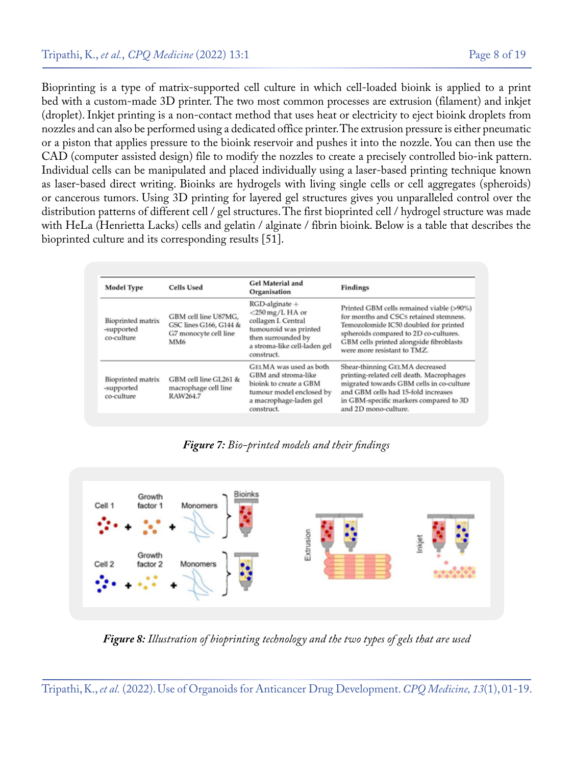Bioprinting is a type of matrix-supported cell culture in which cell-loaded bioink is applied to a print bed with a custom-made 3D printer. The two most common processes are extrusion (filament) and inkjet (droplet). Inkjet printing is a non-contact method that uses heat or electricity to eject bioink droplets from nozzles and can also be performed using a dedicated office printer. The extrusion pressure is either pneumatic or a piston that applies pressure to the bioink reservoir and pushes it into the nozzle. You can then use the CAD (computer assisted design) file to modify the nozzles to create a precisely controlled bio-ink pattern. Individual cells can be manipulated and placed individually using a laser-based printing technique known as laser-based direct writing. Bioinks are hydrogels with living single cells or cell aggregates (spheroids) or cancerous tumors. Using 3D printing for layered gel structures gives you unparalleled control over the distribution patterns of different cell / gel structures. The first bioprinted cell / hydrogel structure was made with HeLa (Henrietta Lacks) cells and gelatin / alginate / fibrin bioink. Below is a table that describes the bioprinted culture and its corresponding results [51].

| Model Type                                    | <b>Cells Used</b>                                                              | <b>Gel Material and</b><br>Organisation                                                                                                                     | Findings                                                                                                                                                                                                                                       |
|-----------------------------------------------|--------------------------------------------------------------------------------|-------------------------------------------------------------------------------------------------------------------------------------------------------------|------------------------------------------------------------------------------------------------------------------------------------------------------------------------------------------------------------------------------------------------|
| Bioprinted matrix<br>-supported<br>co-culture | GBM cell line U87MG,<br>GSC lines G166, G144 &<br>G7 monocyte cell line<br>MM6 | $RGD$ -alginate +<br>$<$ 250 mg/L HA or<br>collagen I. Central<br>tumouroid was printed<br>then surrounded by<br>a stroma-like cell-laden gel<br>construct. | Printed GBM cells remained viable (>90%)<br>for months and CSCs retained stemness.<br>Temozolomide IC50 doubled for printed<br>spheroids compared to 2D co-cultures.<br>GBM cells printed alongside fibroblasts<br>were more resistant to TMZ. |
| Bioprinted matrix<br>-supported<br>co-culture | GBM cell line GL261 &<br>macrophage cell line<br>RAW264.7                      | GELMA was used as both<br>GBM and stroma-like<br>bioink to create a GBM<br>tumour model enclosed by<br>a macrophage-laden gel<br>construct.                 | Shear-thinning GELMA decreased<br>printing-related cell death. Macrophages<br>migrated towards GBM cells in co-culture<br>and GBM cells had 15-fold increases<br>in GBM-specific markers compared to 3D<br>and 2D mono-culture.                |

*Figure 7: Bio-printed models and their findings*



*Figure 8: Illustration of bioprinting technology and the two types of gels that are used*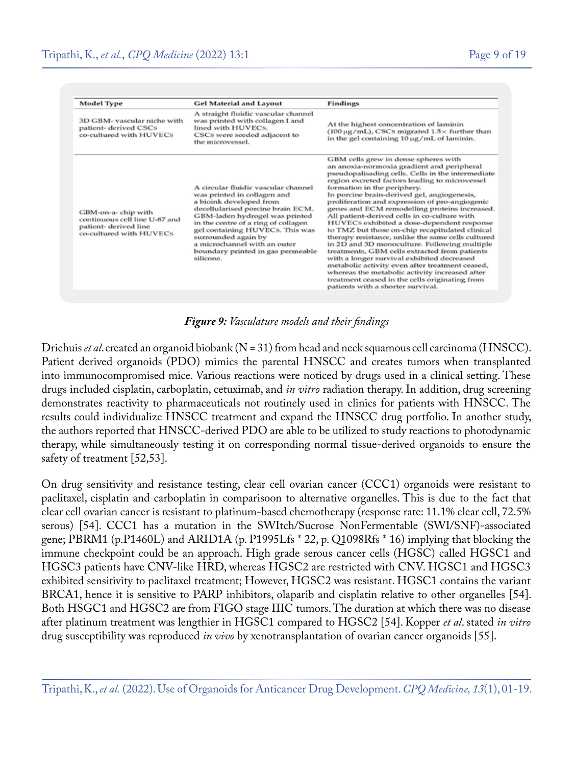| <b>Model Type</b>                                                                                      | <b>Gel Material and Layout</b>                                                                                                                                                                                                                                                                                                                          | Findings                                                                                                                                                                                                                                                                                                                                                                                                                                                                                                                                                                                                                                                                                                                                                                                                                                                                                                                     |
|--------------------------------------------------------------------------------------------------------|---------------------------------------------------------------------------------------------------------------------------------------------------------------------------------------------------------------------------------------------------------------------------------------------------------------------------------------------------------|------------------------------------------------------------------------------------------------------------------------------------------------------------------------------------------------------------------------------------------------------------------------------------------------------------------------------------------------------------------------------------------------------------------------------------------------------------------------------------------------------------------------------------------------------------------------------------------------------------------------------------------------------------------------------------------------------------------------------------------------------------------------------------------------------------------------------------------------------------------------------------------------------------------------------|
| 3D GBM- vascular niche with<br>patient- derived CSCs<br>co-cultured with HUVECs                        | A straight fluidic vascular channel<br>was printed with collagen I and<br>lined with HUVECs.<br>CSCs were seeded adjacent to<br>the microvessel.                                                                                                                                                                                                        | At the highest concentration of laminin<br>$(100 \,\mu g/mL)$ , CSCs migrated $1.5 \times$ further than<br>in the gel containing 10 µg/mL of laminin.                                                                                                                                                                                                                                                                                                                                                                                                                                                                                                                                                                                                                                                                                                                                                                        |
| GBM-on-a-chip with<br>continuous cell line U-87 and<br>patient-derived line<br>co-cultured with HUVECs | A circular fluidic vascular channel<br>was printed in collagen and<br>a bioink developed from<br>decellularised porcine brain ECM.<br>GBM-laden hydrogel was printed<br>in the centre of a ring of collagen<br>gel containing HUVECs. This was<br>surrounded again by<br>a microchannel with an outer<br>boundary printed in gas permeable<br>silicone. | GBM cells grew in dense spheres with<br>an anoxia-normoxia gradient and peripheral<br>pseudopalisading cells. Cells in the intermediate<br>region excreted factors leading to microvessel<br>formation in the periphery.<br>In porcine brain-derived gel, angiogenesis,<br>proliferation and expression of pro-angiogenic<br>genes and ECM remodelling proteins increased.<br>All patient-derived cells in co-culture with<br>HUVECs exhibited a dose-dependent response<br>to TMZ but those on-chip recapitulated clinical<br>therapy resistance, unlike the same cells cultured<br>in 2D and 3D monoculture. Following multiple<br>treatments, GBM cells extracted from patients<br>with a longer survival exhibited decreased<br>metabolic activity even after treatment ceased,<br>whereas the metabolic activity increased after<br>treatment ceased in the cells originating from<br>patients with a shorter survival. |

*Figure 9: Vasculature models and their findings*

Driehuis *et al*. created an organoid biobank (N = 31) from head and neck squamous cell carcinoma (HNSCC). Patient derived organoids (PDO) mimics the parental HNSCC and creates tumors when transplanted into immunocompromised mice. Various reactions were noticed by drugs used in a clinical setting. These drugs included cisplatin, carboplatin, cetuximab, and *in vitro* radiation therapy. In addition, drug screening demonstrates reactivity to pharmaceuticals not routinely used in clinics for patients with HNSCC. The results could individualize HNSCC treatment and expand the HNSCC drug portfolio. In another study, the authors reported that HNSCC-derived PDO are able to be utilized to study reactions to photodynamic therapy, while simultaneously testing it on corresponding normal tissue-derived organoids to ensure the safety of treatment [52,53].

On drug sensitivity and resistance testing, clear cell ovarian cancer (CCC1) organoids were resistant to paclitaxel, cisplatin and carboplatin in comparisoon to alternative organelles. This is due to the fact that clear cell ovarian cancer is resistant to platinum-based chemotherapy (response rate: 11.1% clear cell, 72.5% serous) [54]. CCC1 has a mutation in the SWItch/Sucrose NonFermentable (SWI/SNF)-associated gene; PBRM1 (p.P1460L) and ARID1A (p. P1995Lfs \* 22, p. Q1098Rfs \* 16) implying that blocking the immune checkpoint could be an approach. High grade serous cancer cells (HGSC) called HGSC1 and HGSC3 patients have CNV-like HRD, whereas HGSC2 are restricted with CNV. HGSC1 and HGSC3 exhibited sensitivity to paclitaxel treatment; However, HGSC2 was resistant. HGSC1 contains the variant BRCA1, hence it is sensitive to PARP inhibitors, olaparib and cisplatin relative to other organelles [54]. Both HSGC1 and HGSC2 are from FIGO stage IIIC tumors. The duration at which there was no disease after platinum treatment was lengthier in HGSC1 compared to HGSC2 [54]. Kopper *et al*. stated *in vitro* drug susceptibility was reproduced *in vivo* by xenotransplantation of ovarian cancer organoids [55].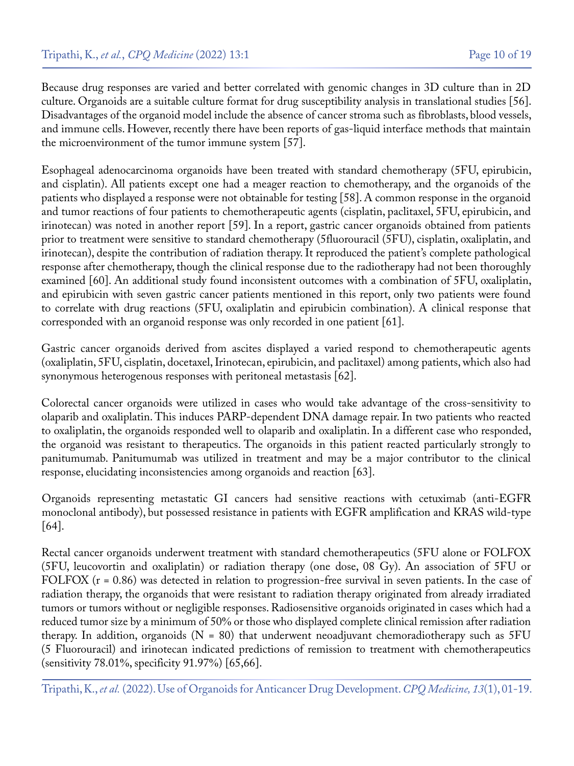Because drug responses are varied and better correlated with genomic changes in 3D culture than in 2D culture. Organoids are a suitable culture format for drug susceptibility analysis in translational studies [56]. Disadvantages of the organoid model include the absence of cancer stroma such as fibroblasts, blood vessels, and immune cells. However, recently there have been reports of gas-liquid interface methods that maintain the microenvironment of the tumor immune system [57].

Esophageal adenocarcinoma organoids have been treated with standard chemotherapy (5FU, epirubicin, and cisplatin). All patients except one had a meager reaction to chemotherapy, and the organoids of the patients who displayed a response were not obtainable for testing [58]. A common response in the organoid and tumor reactions of four patients to chemotherapeutic agents (cisplatin, paclitaxel, 5FU, epirubicin, and irinotecan) was noted in another report [59]. In a report, gastric cancer organoids obtained from patients prior to treatment were sensitive to standard chemotherapy (5fluorouracil (5FU), cisplatin, oxaliplatin, and irinotecan), despite the contribution of radiation therapy. It reproduced the patient's complete pathological response after chemotherapy, though the clinical response due to the radiotherapy had not been thoroughly examined [60]. An additional study found inconsistent outcomes with a combination of 5FU, oxaliplatin, and epirubicin with seven gastric cancer patients mentioned in this report, only two patients were found to correlate with drug reactions (5FU, oxaliplatin and epirubicin combination). A clinical response that corresponded with an organoid response was only recorded in one patient [61].

Gastric cancer organoids derived from ascites displayed a varied respond to chemotherapeutic agents (oxaliplatin, 5FU, cisplatin, docetaxel, Irinotecan, epirubicin, and paclitaxel) among patients, which also had synonymous heterogenous responses with peritoneal metastasis [62].

Colorectal cancer organoids were utilized in cases who would take advantage of the cross-sensitivity to olaparib and oxaliplatin. This induces PARP-dependent DNA damage repair. In two patients who reacted to oxaliplatin, the organoids responded well to olaparib and oxaliplatin. In a different case who responded, the organoid was resistant to therapeutics. The organoids in this patient reacted particularly strongly to panitumumab. Panitumumab was utilized in treatment and may be a major contributor to the clinical response, elucidating inconsistencies among organoids and reaction [63].

Organoids representing metastatic GI cancers had sensitive reactions with cetuximab (anti-EGFR monoclonal antibody), but possessed resistance in patients with EGFR amplification and KRAS wild-type [64].

Rectal cancer organoids underwent treatment with standard chemotherapeutics (5FU alone or FOLFOX (5FU, leucovortin and oxaliplatin) or radiation therapy (one dose, 08 Gy). An association of 5FU or FOLFOX (r = 0.86) was detected in relation to progression-free survival in seven patients. In the case of radiation therapy, the organoids that were resistant to radiation therapy originated from already irradiated tumors or tumors without or negligible responses. Radiosensitive organoids originated in cases which had a reduced tumor size by a minimum of 50% or those who displayed complete clinical remission after radiation therapy. In addition, organoids (N = 80) that underwent neoadjuvant chemoradiotherapy such as 5FU (5 Fluorouracil) and irinotecan indicated predictions of remission to treatment with chemotherapeutics (sensitivity 78.01%, specificity 91.97%) [65,66].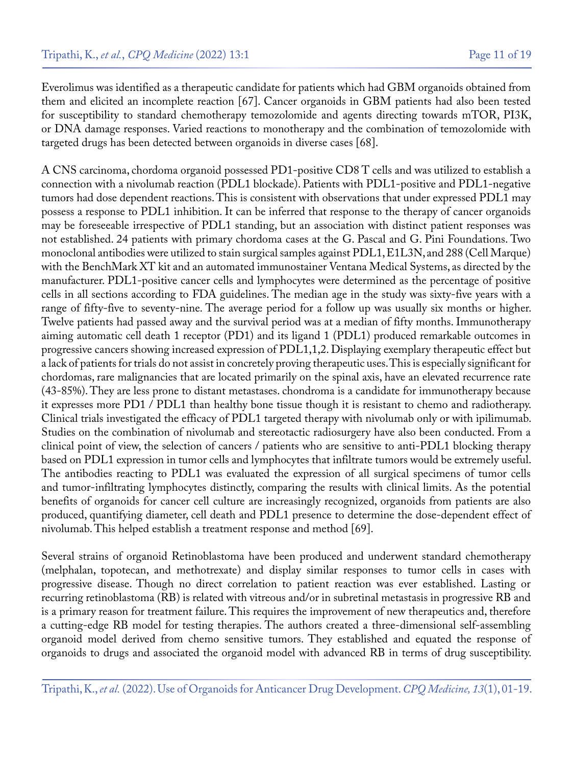Everolimus was identified as a therapeutic candidate for patients which had GBM organoids obtained from them and elicited an incomplete reaction [67]. Cancer organoids in GBM patients had also been tested for susceptibility to standard chemotherapy temozolomide and agents directing towards mTOR, PI3K, or DNA damage responses. Varied reactions to monotherapy and the combination of temozolomide with targeted drugs has been detected between organoids in diverse cases [68].

A CNS carcinoma, chordoma organoid possessed PD1-positive CD8 T cells and was utilized to establish a connection with a nivolumab reaction (PDL1 blockade). Patients with PDL1-positive and PDL1-negative tumors had dose dependent reactions. This is consistent with observations that under expressed PDL1 may possess a response to PDL1 inhibition. It can be inferred that response to the therapy of cancer organoids may be foreseeable irrespective of PDL1 standing, but an association with distinct patient responses was not established. 24 patients with primary chordoma cases at the G. Pascal and G. Pini Foundations. Two monoclonal antibodies were utilized to stain surgical samples against PDL1, E1L3N, and 288 (Cell Marque) with the BenchMark XT kit and an automated immunostainer Ventana Medical Systems, as directed by the manufacturer. PDL1-positive cancer cells and lymphocytes were determined as the percentage of positive cells in all sections according to FDA guidelines. The median age in the study was sixty-five years with a range of fifty-five to seventy-nine. The average period for a follow up was usually six months or higher. Twelve patients had passed away and the survival period was at a median of fifty months. Immunotherapy aiming automatic cell death 1 receptor (PD1) and its ligand 1 (PDL1) produced remarkable outcomes in progressive cancers showing increased expression of PDL1,1,2. Displaying exemplary therapeutic effect but a lack of patients for trials do not assist in concretely proving therapeutic uses. This is especially significant for chordomas, rare malignancies that are located primarily on the spinal axis, have an elevated recurrence rate (43-85%). They are less prone to distant metastases. chondroma is a candidate for immunotherapy because it expresses more PD1 / PDL1 than healthy bone tissue though it is resistant to chemo and radiotherapy. Clinical trials investigated the efficacy of PDL1 targeted therapy with nivolumab only or with ipilimumab. Studies on the combination of nivolumab and stereotactic radiosurgery have also been conducted. From a clinical point of view, the selection of cancers / patients who are sensitive to anti-PDL1 blocking therapy based on PDL1 expression in tumor cells and lymphocytes that infiltrate tumors would be extremely useful. The antibodies reacting to PDL1 was evaluated the expression of all surgical specimens of tumor cells and tumor-infiltrating lymphocytes distinctly, comparing the results with clinical limits. As the potential benefits of organoids for cancer cell culture are increasingly recognized, organoids from patients are also produced, quantifying diameter, cell death and PDL1 presence to determine the dose-dependent effect of nivolumab. This helped establish a treatment response and method [69].

Several strains of organoid Retinoblastoma have been produced and underwent standard chemotherapy (melphalan, topotecan, and methotrexate) and display similar responses to tumor cells in cases with progressive disease. Though no direct correlation to patient reaction was ever established. Lasting or recurring retinoblastoma (RB) is related with vitreous and/or in subretinal metastasis in progressive RB and is a primary reason for treatment failure. This requires the improvement of new therapeutics and, therefore a cutting-edge RB model for testing therapies. The authors created a three-dimensional self-assembling organoid model derived from chemo sensitive tumors. They established and equated the response of organoids to drugs and associated the organoid model with advanced RB in terms of drug susceptibility.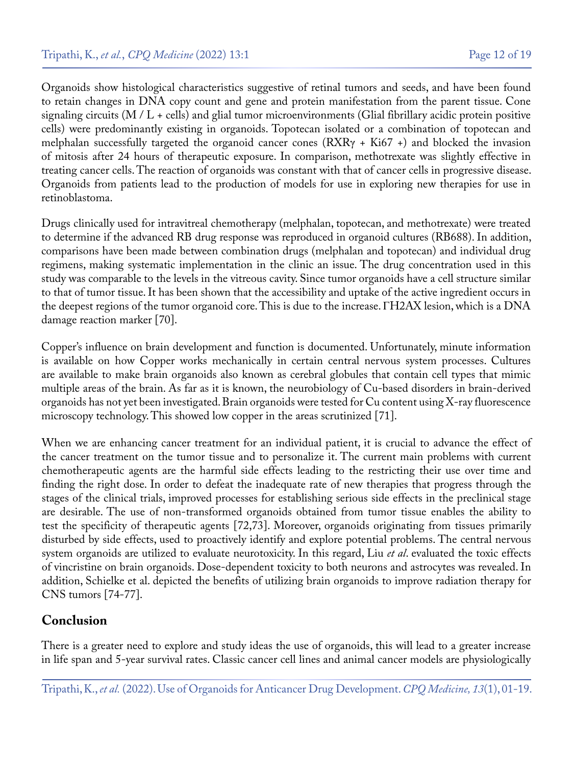Organoids show histological characteristics suggestive of retinal tumors and seeds, and have been found to retain changes in DNA copy count and gene and protein manifestation from the parent tissue. Cone signaling circuits (M / L + cells) and glial tumor microenvironments (Glial fibrillary acidic protein positive cells) were predominantly existing in organoids. Topotecan isolated or a combination of topotecan and melphalan successfully targeted the organoid cancer cones (RXRγ + Ki67 +) and blocked the invasion of mitosis after 24 hours of therapeutic exposure. In comparison, methotrexate was slightly effective in treating cancer cells. The reaction of organoids was constant with that of cancer cells in progressive disease. Organoids from patients lead to the production of models for use in exploring new therapies for use in retinoblastoma.

Drugs clinically used for intravitreal chemotherapy (melphalan, topotecan, and methotrexate) were treated to determine if the advanced RB drug response was reproduced in organoid cultures (RB688). In addition, comparisons have been made between combination drugs (melphalan and topotecan) and individual drug regimens, making systematic implementation in the clinic an issue. The drug concentration used in this study was comparable to the levels in the vitreous cavity. Since tumor organoids have a cell structure similar to that of tumor tissue. It has been shown that the accessibility and uptake of the active ingredient occurs in the deepest regions of the tumor organoid core. This is due to the increase. ΓH2AX lesion, which is a DNA damage reaction marker [70].

Copper's influence on brain development and function is documented. Unfortunately, minute information is available on how Copper works mechanically in certain central nervous system processes. Cultures are available to make brain organoids also known as cerebral globules that contain cell types that mimic multiple areas of the brain. As far as it is known, the neurobiology of Cu-based disorders in brain-derived organoids has not yet been investigated. Brain organoids were tested for Cu content using X-ray fluorescence microscopy technology. This showed low copper in the areas scrutinized [71].

When we are enhancing cancer treatment for an individual patient, it is crucial to advance the effect of the cancer treatment on the tumor tissue and to personalize it. The current main problems with current chemotherapeutic agents are the harmful side effects leading to the restricting their use over time and finding the right dose. In order to defeat the inadequate rate of new therapies that progress through the stages of the clinical trials, improved processes for establishing serious side effects in the preclinical stage are desirable. The use of non-transformed organoids obtained from tumor tissue enables the ability to test the specificity of therapeutic agents [72,73]. Moreover, organoids originating from tissues primarily disturbed by side effects, used to proactively identify and explore potential problems. The central nervous system organoids are utilized to evaluate neurotoxicity. In this regard, Liu *et al*. evaluated the toxic effects of vincristine on brain organoids. Dose-dependent toxicity to both neurons and astrocytes was revealed. In addition, Schielke et al. depicted the benefits of utilizing brain organoids to improve radiation therapy for CNS tumors [74-77].

## **Conclusion**

There is a greater need to explore and study ideas the use of organoids, this will lead to a greater increase in life span and 5-year survival rates. Classic cancer cell lines and animal cancer models are physiologically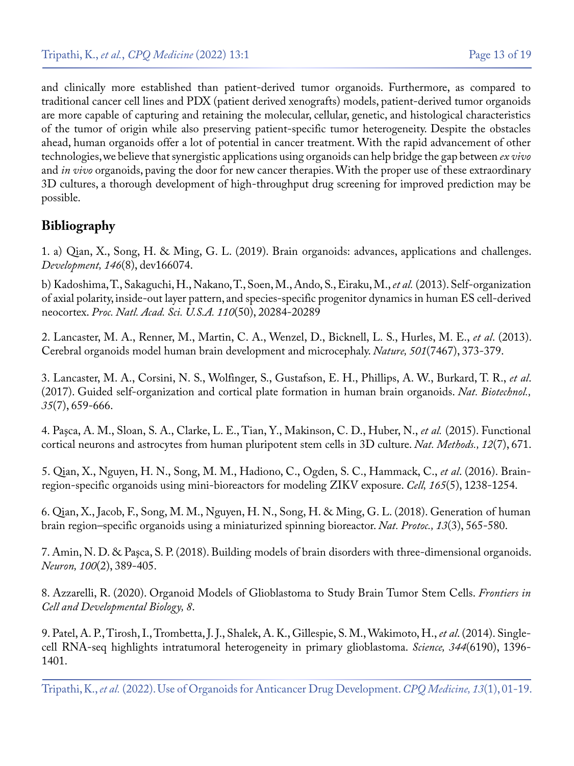and clinically more established than patient-derived tumor organoids. Furthermore, as compared to traditional cancer cell lines and PDX (patient derived xenografts) models, patient-derived tumor organoids are more capable of capturing and retaining the molecular, cellular, genetic, and histological characteristics of the tumor of origin while also preserving patient-specific tumor heterogeneity. Despite the obstacles ahead, human organoids offer a lot of potential in cancer treatment. With the rapid advancement of other technologies, we believe that synergistic applications using organoids can help bridge the gap between *ex vivo*  and *in vivo* organoids, paving the door for new cancer therapies. With the proper use of these extraordinary 3D cultures, a thorough development of high-throughput drug screening for improved prediction may be possible.

## **Bibliography**

1. a) [Qian, X., Song, H. & Ming, G. L. \(2019\). Brain organoids: advances, applications and challenges.](https://pubmed.ncbi.nlm.nih.gov/30992274/)  *[Development, 146](https://pubmed.ncbi.nlm.nih.gov/30992274/)*(8), dev166074.

b) [Kadoshima, T., Sakaguchi, H., Nakano, T., Soen, M., Ando, S., Eiraku, M.,](https://pubmed.ncbi.nlm.nih.gov/24277810/) *et al.* (2013). Self-organization [of axial polarity, inside-out layer pattern, and species-specific progenitor dynamics in human ES cell-derived](https://pubmed.ncbi.nlm.nih.gov/24277810/)  neocortex. *[Proc. Natl. Acad. Sci. U.S.A. 110](https://pubmed.ncbi.nlm.nih.gov/24277810/)*(50), 20284-20289

2. [Lancaster, M. A., Renner, M., Martin, C. A., Wenzel, D., Bicknell, L. S., Hurles, M. E.,](https://pubmed.ncbi.nlm.nih.gov/23995685/) *et al*. (2013). [Cerebral organoids model human brain development and microcephaly.](https://pubmed.ncbi.nlm.nih.gov/23995685/) *Nature, 501*(7467), 373-379.

3. [Lancaster, M. A., Corsini, N. S., Wolfinger, S., Gustafson, E. H., Phillips, A. W., Burkard, T. R.,](https://pubmed.ncbi.nlm.nih.gov/28562594/) *et al*. [\(2017\). Guided self-organization and cortical plate formation in human brain organoids.](https://pubmed.ncbi.nlm.nih.gov/28562594/) *Nat. Biotechnol., 35*[\(7\), 659-666.](https://pubmed.ncbi.nlm.nih.gov/28562594/)

4. [Paşca, A. M., Sloan, S. A., Clarke, L. E., Tian, Y., Makinson, C. D., Huber, N.,](https://pubmed.ncbi.nlm.nih.gov/26005811/) *et al.* (2015). Functional [cortical neurons and astrocytes from human pluripotent stem cells in 3D culture.](https://pubmed.ncbi.nlm.nih.gov/26005811/) *Nat. Methods., 12*(7), 671.

5. [Qian, X., Nguyen, H. N., Song, M. M., Hadiono, C., Ogden, S. C., Hammack, C.,](https://pubmed.ncbi.nlm.nih.gov/27118425/) *et al*. (2016). Brain[region-specific organoids using mini-bioreactors for modeling ZIKV exposure.](https://pubmed.ncbi.nlm.nih.gov/27118425/) *Cell, 165*(5), 1238-1254.

6. [Qian, X., Jacob, F., Song, M. M., Nguyen, H. N., Song, H. & Ming, G. L. \(2018\). Generation of human](https://pubmed.ncbi.nlm.nih.gov/29470464/)  [brain region–specific organoids using a miniaturized spinning bioreactor.](https://pubmed.ncbi.nlm.nih.gov/29470464/) *Nat. Protoc., 13*(3), 565-580.

7. [Amin, N. D. & Paşca, S. P. \(2018\). Building models of brain disorders with three-dimensional organoids.](https://pubmed.ncbi.nlm.nih.gov/30359604/)  *Neuron, 100*[\(2\), 389-405.](https://pubmed.ncbi.nlm.nih.gov/30359604/)

8. [Azzarelli, R. \(2020\). Organoid Models of Glioblastoma to Study Brain Tumor Stem Cells.](https://www.ncbi.nlm.nih.gov/pmc/articles/PMC7176979/) *Frontiers in [Cell and Developmental Biology, 8](https://www.ncbi.nlm.nih.gov/pmc/articles/PMC7176979/)*.

9. [Patel, A. P., Tirosh, I., Trombetta, J. J., Shalek, A. K., Gillespie, S. M., Wakimoto, H.,](https://pubmed.ncbi.nlm.nih.gov/24925914/) *et al*. (2014). Single[cell RNA-seq highlights intratumoral heterogeneity in primary glioblastoma.](https://pubmed.ncbi.nlm.nih.gov/24925914/) *Science, 344*(6190), 1396- [1401.](https://pubmed.ncbi.nlm.nih.gov/24925914/)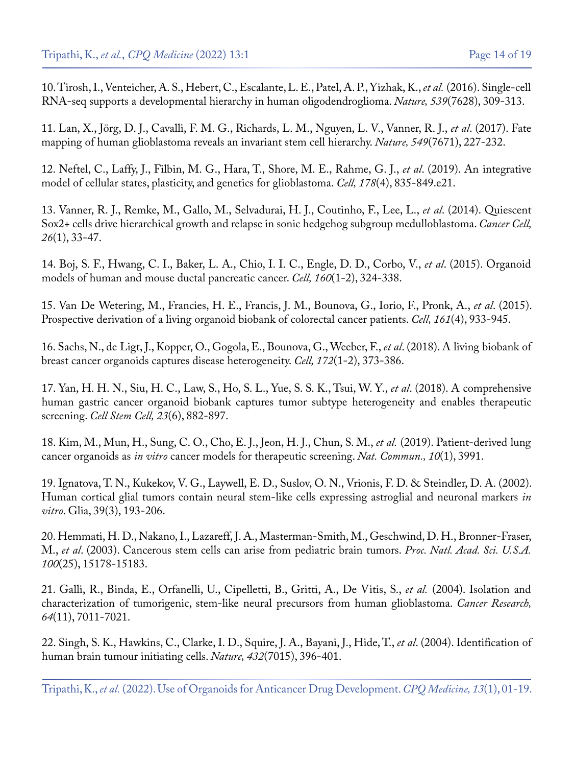10. [Tirosh, I., Venteicher, A. S., Hebert, C., Escalante, L. E., Patel, A. P., Yizhak, K.,](https://pubmed.ncbi.nlm.nih.gov/27806376/) *et al.* (2016). Single-cell [RNA-seq supports a developmental hierarchy in human oligodendroglioma.](https://pubmed.ncbi.nlm.nih.gov/27806376/) *Nature, 539*(7628), 309-313.

11. [Lan, X., Jörg, D. J., Cavalli, F. M. G., Richards, L. M., Nguyen, L. V., Vanner, R. J.,](https://pubmed.ncbi.nlm.nih.gov/28854171/) *et al*. (2017). Fate [mapping of human glioblastoma reveals an invariant stem cell hierarchy.](https://pubmed.ncbi.nlm.nih.gov/28854171/) *Nature, 549*(7671), 227-232.

12. [Neftel, C., Laffy, J., Filbin, M. G., Hara, T., Shore, M. E., Rahme, G. J.,](https://pubmed.ncbi.nlm.nih.gov/31327527/) *et al*. (2019). An integrative [model of cellular states, plasticity, and genetics for glioblastoma.](https://pubmed.ncbi.nlm.nih.gov/31327527/) *Cell, 178*(4), 835-849.e21.

13. [Vanner, R. J., Remke, M., Gallo, M., Selvadurai, H. J., Coutinho, F., Lee, L.,](https://pubmed.ncbi.nlm.nih.gov/24954133/) *et al*. (2014). Quiescent [Sox2+ cells drive hierarchical growth and relapse in sonic hedgehog subgroup medulloblastoma.](https://pubmed.ncbi.nlm.nih.gov/24954133/) *Cancer Cell, 26*[\(1\), 33-47.](https://pubmed.ncbi.nlm.nih.gov/24954133/)

14. [Boj, S. F., Hwang, C. I., Baker, L. A., Chio, I. I. C., Engle, D. D., Corbo, V.,](https://pubmed.ncbi.nlm.nih.gov/25557080/) *et al*. (2015). Organoid [models of human and mouse ductal pancreatic cancer.](https://pubmed.ncbi.nlm.nih.gov/25557080/) *Cell, 160*(1-2), 324-338.

15. [Van De Wetering, M., Francies, H. E., Francis, J. M., Bounova, G., Iorio, F., Pronk, A.,](https://pubmed.ncbi.nlm.nih.gov/25957691/) *et al*. (2015). [Prospective derivation of a living organoid biobank of colorectal cancer patients.](https://pubmed.ncbi.nlm.nih.gov/25957691/) *Cell, 161*(4), 933-945.

16. [Sachs, N., de Ligt, J., Kopper, O., Gogola, E., Bounova, G., Weeber, F.,](https://pubmed.ncbi.nlm.nih.gov/29224780/) *et al*. (2018). A living biobank of [breast cancer organoids captures disease heterogeneity.](https://pubmed.ncbi.nlm.nih.gov/29224780/) *Cell, 172*(1-2), 373-386.

17. [Yan, H. H. N., Siu, H. C., Law, S., Ho, S. L., Yue, S. S. K., Tsui, W. Y.,](https://pubmed.ncbi.nlm.nih.gov/30344100/) *et al*. (2018). A comprehensive [human gastric cancer organoid biobank captures tumor subtype heterogeneity and enables therapeutic](https://pubmed.ncbi.nlm.nih.gov/30344100/) screening. *[Cell Stem Cell, 23](https://pubmed.ncbi.nlm.nih.gov/30344100/)*(6), 882-897.

18. [Kim, M., Mun, H., Sung, C. O., Cho, E. J., Jeon, H. J., Chun, S. M.,](https://pubmed.ncbi.nlm.nih.gov/31488816/) *et al.* (2019). Patient-derived lung cancer organoids as *in vitro* [cancer models for therapeutic screening.](https://pubmed.ncbi.nlm.nih.gov/31488816/) *Nat. Commun., 10*(1), 3991.

19. [Ignatova, T. N., Kukekov, V. G., Laywell, E. D., Suslov, O. N., Vrionis, F. D. & Steindler, D. A. \(2002\).](https://pubmed.ncbi.nlm.nih.gov/12203386/) [Human cortical glial tumors contain neural stem-like cells expressing astroglial and neuronal markers](https://pubmed.ncbi.nlm.nih.gov/12203386/) *in vitro*[. Glia, 39\(3\), 193-206.](https://pubmed.ncbi.nlm.nih.gov/12203386/)

20. [Hemmati, H. D., Nakano, I., Lazareff, J. A., Masterman-Smith, M., Geschwind, D. H., Bronner-Fraser,](https://pubmed.ncbi.nlm.nih.gov/14645703/)  M., *et al*[. \(2003\). Cancerous stem cells can arise from pediatric brain tumors.](https://pubmed.ncbi.nlm.nih.gov/14645703/) *Proc. Natl. Acad. Sci. U.S.A. 100*[\(25\), 15178-15183.](https://pubmed.ncbi.nlm.nih.gov/14645703/)

21. [Galli, R., Binda, E., Orfanelli, U., Cipelletti, B., Gritti, A., De Vitis, S.,](https://pubmed.ncbi.nlm.nih.gov/15466194/) *et al.* (2004). Isolation and [characterization of tumorigenic, stem-like neural precursors from human glioblastoma.](https://pubmed.ncbi.nlm.nih.gov/15466194/) *Cancer Research, 64*[\(11\), 7011-7021.](https://pubmed.ncbi.nlm.nih.gov/15466194/)

22. [Singh, S. K., Hawkins, C., Clarke, I. D., Squire, J. A., Bayani, J., Hide, T.,](https://pubmed.ncbi.nlm.nih.gov/15549107/) *et al*. (2004). Identification of [human brain tumour initiating cells.](https://pubmed.ncbi.nlm.nih.gov/15549107/) *Nature, 432*(7015), 396-401.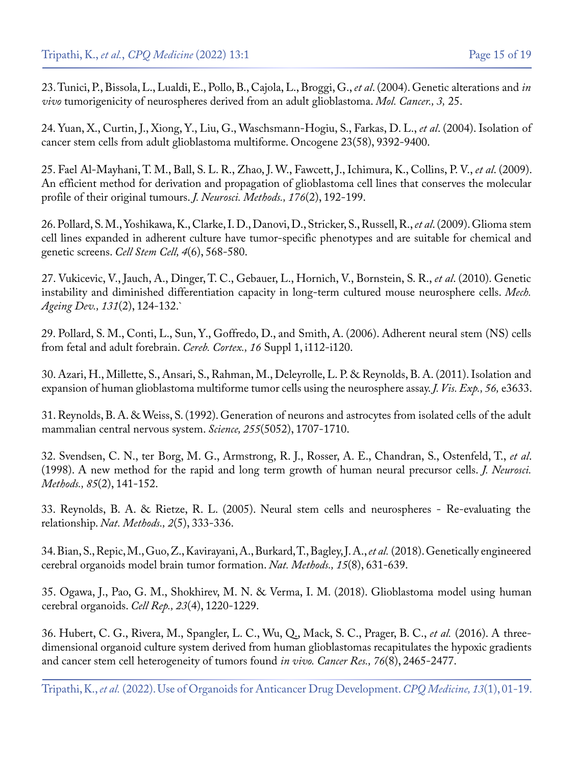23. [Tunici, P., Bissola, L., Lualdi, E., Pollo, B., Cajola, L., Broggi, G.,](https://pubmed.ncbi.nlm.nih.gov/15469606/) *et al*. (2004). Genetic alterations and *in vivo* [tumorigenicity of neurospheres derived from an adult glioblastoma.](https://pubmed.ncbi.nlm.nih.gov/15469606/) *Mol. Cancer., 3,* 25.

24. [Yuan, X., Curtin, J., Xiong, Y., Liu, G., Waschsmann-Hogiu, S., Farkas, D. L.,](https://pubmed.ncbi.nlm.nih.gov/15558011/) *et al*. (2004). Isolation of [cancer stem cells from adult glioblastoma multiforme. Oncogene 23\(58\), 9392-9400.](https://pubmed.ncbi.nlm.nih.gov/15558011/)

25. [Fael Al-Mayhani, T. M., Ball, S. L. R., Zhao, J. W., Fawcett, J., Ichimura, K., Collins, P. V.,](https://pubmed.ncbi.nlm.nih.gov/19215724/) *et al*. (2009). [An efficient method for derivation and propagation of glioblastoma cell lines that conserves the molecular](https://pubmed.ncbi.nlm.nih.gov/19215724/) [profile of their original tumours.](https://pubmed.ncbi.nlm.nih.gov/19215724/) *J. Neurosci. Methods., 176*(2), 192-199.

26. [Pollard, S. M., Yoshikawa, K., Clarke, I. D., Danovi, D., Stricker, S., Russell, R.,](https://pubmed.ncbi.nlm.nih.gov/19497285/) *et al*. (2009). Glioma stem [cell lines expanded in adherent culture have tumor-specific phenotypes and are suitable for chemical and](https://pubmed.ncbi.nlm.nih.gov/19497285/) [genetic screens.](https://pubmed.ncbi.nlm.nih.gov/19497285/) *Cell Stem Cell, 4*(6), 568-580.

27. [Vukicevic, V., Jauch, A., Dinger, T. C., Gebauer, L., Hornich, V., Bornstein, S. R.,](https://pubmed.ncbi.nlm.nih.gov/20074583/) *et al*. (2010). Genetic [instability and diminished differentiation capacity in long-term cultured mouse neurosphere cells.](https://pubmed.ncbi.nlm.nih.gov/20074583/) *Mech. [Ageing Dev., 131](https://pubmed.ncbi.nlm.nih.gov/20074583/)*(2), 124-132.`

29. [Pollard, S. M., Conti, L., Sun, Y., Goffredo, D., and Smith, A. \(2006\). Adherent neural stem \(NS\) cells](https://pubmed.ncbi.nlm.nih.gov/16766697/) [from fetal and adult forebrain.](https://pubmed.ncbi.nlm.nih.gov/16766697/) *Cereb. Cortex., 16* Suppl 1, i112-i120.

30. [Azari, H., Millette, S., Ansari, S., Rahman, M., Deleyrolle, L. P. & Reynolds, B. A. \(2011\). Isolation and](https://pubmed.ncbi.nlm.nih.gov/22064695/) [expansion of human glioblastoma multiforme tumor cells using the neurosphere assay.](https://pubmed.ncbi.nlm.nih.gov/22064695/) *J. Vis. Exp., 56,* e3633.

31. [Reynolds, B. A. & Weiss, S. \(1992\). Generation of neurons and astrocytes from isolated cells of the adult](https://pubmed.ncbi.nlm.nih.gov/1553558/) [mammalian central nervous system.](https://pubmed.ncbi.nlm.nih.gov/1553558/) *Science, 255*(5052), 1707-1710.

32. [Svendsen, C. N., ter Borg, M. G., Armstrong, R. J., Rosser, A. E., Chandran, S., Ostenfeld, T.,](https://pubmed.ncbi.nlm.nih.gov/9874150/) *et al*. [\(1998\). A new method for the rapid and long term growth of human neural precursor cells.](https://pubmed.ncbi.nlm.nih.gov/9874150/) *J. Neurosci. Methods., 85*[\(2\), 141-152.](https://pubmed.ncbi.nlm.nih.gov/9874150/)

33. [Reynolds, B. A. & Rietze, R. L. \(2005\). Neural stem cells and neurospheres - Re-evaluating the](https://pubmed.ncbi.nlm.nih.gov/15846359/)  relationship. *[Nat. Methods., 2](https://pubmed.ncbi.nlm.nih.gov/15846359/)*(5), 333-336.

34. [Bian, S., Repic, M., Guo, Z., Kavirayani, A., Burkard, T., Bagley, J. A.,](https://pubmed.ncbi.nlm.nih.gov/30038414/) *et al.* (2018). Genetically engineered [cerebral organoids model brain tumor formation.](https://pubmed.ncbi.nlm.nih.gov/30038414/) *Nat. Methods., 15*(8), 631-639.

35. [Ogawa, J., Pao, G. M., Shokhirev, M. N. & Verma, I. M. \(2018\). Glioblastoma model using human](https://pubmed.ncbi.nlm.nih.gov/29694897/)  [cerebral organoids.](https://pubmed.ncbi.nlm.nih.gov/29694897/) *Cell Rep., 23*(4), 1220-1229.

36. [Hubert, C. G., Rivera, M., Spangler, L. C., Wu, Q., Mack, S. C., Prager, B. C.,](https://pubmed.ncbi.nlm.nih.gov/26896279/) *et al.* (2016). A three[dimensional organoid culture system derived from human glioblastomas recapitulates the hypoxic gradients](https://pubmed.ncbi.nlm.nih.gov/26896279/)  [and cancer stem cell heterogeneity of tumors found](https://pubmed.ncbi.nlm.nih.gov/26896279/) *in vivo. Cancer Res., 76*(8), 2465-2477.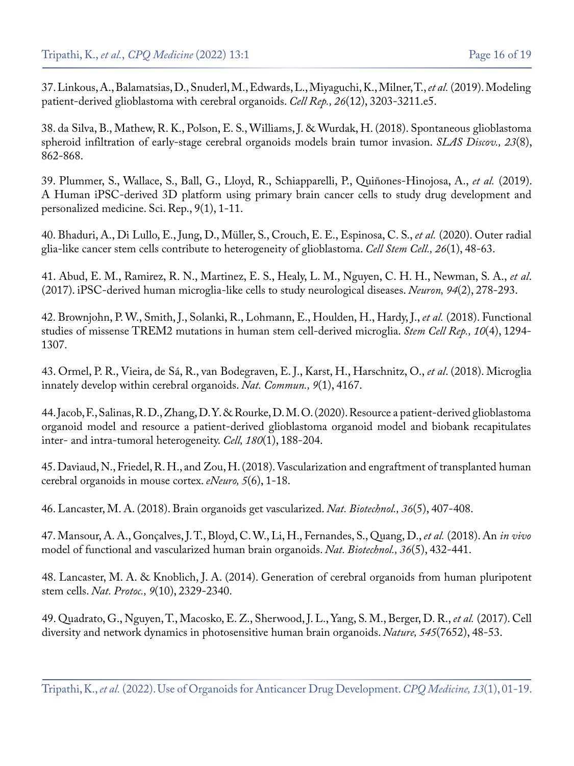37. [Linkous, A., Balamatsias, D., Snuderl, M., Edwards, L., Miyaguchi, K., Milner, T.,](https://pubmed.ncbi.nlm.nih.gov/30893594/) *et al.* (2019). Modeling [patient-derived glioblastoma with cerebral organoids.](https://pubmed.ncbi.nlm.nih.gov/30893594/) *Cell Rep., 26*(12), 3203-3211.e5.

38. [da Silva, B., Mathew, R. K., Polson, E. S., Williams, J. & Wurdak, H. \(2018\). Spontaneous glioblastoma](https://pubmed.ncbi.nlm.nih.gov/29543559/) [spheroid infiltration of early-stage cerebral organoids models brain tumor invasion.](https://pubmed.ncbi.nlm.nih.gov/29543559/) *SLAS Discov., 23*(8), [862-868.](https://pubmed.ncbi.nlm.nih.gov/29543559/)

39. [Plummer, S., Wallace, S., Ball, G., Lloyd, R., Schiapparelli, P., Quiñones-Hinojosa, A.,](https://pubmed.ncbi.nlm.nih.gov/30723234/) *et al.* (2019). [A Human iPSC-derived 3D platform using primary brain cancer cells to study drug development and](https://pubmed.ncbi.nlm.nih.gov/30723234/) [personalized medicine. Sci. Rep., 9\(1\), 1-11.](https://pubmed.ncbi.nlm.nih.gov/30723234/)

40. [Bhaduri, A., Di Lullo, E., Jung, D., Müller, S., Crouch, E. E., Espinosa, C. S.,](https://pubmed.ncbi.nlm.nih.gov/31901251/) *et al.* (2020). Outer radial [glia-like cancer stem cells contribute to heterogeneity of glioblastoma.](https://pubmed.ncbi.nlm.nih.gov/31901251/) *Cell Stem Cell., 26*(1), 48-63.

41. [Abud, E. M., Ramirez, R. N., Martinez, E. S., Healy, L. M., Nguyen, C. H. H., Newman, S. A.,](https://pubmed.ncbi.nlm.nih.gov/28426964/) *et al*. [\(2017\). iPSC-derived human microglia-like cells to study neurological diseases.](https://pubmed.ncbi.nlm.nih.gov/28426964/) *Neuron, 94*(2), 278-293.

42. [Brownjohn, P. W., Smith, J., Solanki, R., Lohmann, E., Houlden, H., Hardy, J.,](https://pubmed.ncbi.nlm.nih.gov/29606617/) *et al.* (2018). Functional [studies of missense TREM2 mutations in human stem cell-derived microglia.](https://pubmed.ncbi.nlm.nih.gov/29606617/) *Stem Cell Rep., 10*(4), 1294- [1307.](https://pubmed.ncbi.nlm.nih.gov/29606617/)

43. [Ormel, P. R., Vieira, de Sá, R., van Bodegraven, E. J., Karst, H., Harschnitz, O.,](https://pubmed.ncbi.nlm.nih.gov/30301888/) *et al*. (2018). Microglia [innately develop within cerebral organoids.](https://pubmed.ncbi.nlm.nih.gov/30301888/) *Nat. Commun., 9*(1), 4167.

44. [Jacob, F., Salinas, R. D., Zhang, D. Y. & Rourke, D. M. O. \(2020\). Resource a patient-derived glioblastoma](https://pubmed.ncbi.nlm.nih.gov/31883794/) [organoid model and resource a patient-derived glioblastoma organoid model and biobank recapitulates](https://pubmed.ncbi.nlm.nih.gov/31883794/)  [inter- and intra-tumoral heterogeneity.](https://pubmed.ncbi.nlm.nih.gov/31883794/) *Cell, 180*(1), 188-204.

45. [Daviaud, N., Friedel, R. H., and Zou, H. \(2018\). Vascularization and engraftment of transplanted human](https://pubmed.ncbi.nlm.nih.gov/30460331/) [cerebral organoids in mouse cortex.](https://pubmed.ncbi.nlm.nih.gov/30460331/) *eNeuro, 5*(6), 1-18.

46. [Lancaster, M. A. \(2018\). Brain organoids get vascularized.](https://pubmed.ncbi.nlm.nih.gov/29734310/) *Nat. Biotechnol., 36*(5), 407-408.

47. [Mansour, A. A., Gonçalves, J. T., Bloyd, C. W., Li, H., Fernandes, S., Quang, D.,](https://pubmed.ncbi.nlm.nih.gov/29658944/) *et al.* (2018). An *in vivo*  [model of functional and vascularized human brain organoids.](https://pubmed.ncbi.nlm.nih.gov/29658944/) *Nat. Biotechnol., 36*(5), 432-441.

48. [Lancaster, M. A. & Knoblich, J. A. \(2014\). Generation of cerebral organoids from human pluripotent](https://pubmed.ncbi.nlm.nih.gov/25188634/)  stem cells. *Nat. Protoc., 9*[\(10\), 2329-2340.](https://pubmed.ncbi.nlm.nih.gov/25188634/)

49. [Quadrato, G., Nguyen, T., Macosko, E. Z., Sherwood, J. L., Yang, S. M., Berger, D. R.,](https://pubmed.ncbi.nlm.nih.gov/28445462/) *et al.* (2017). Cell [diversity and network dynamics in photosensitive human brain organoids.](https://pubmed.ncbi.nlm.nih.gov/28445462/) *Nature, 545*(7652), 48-53.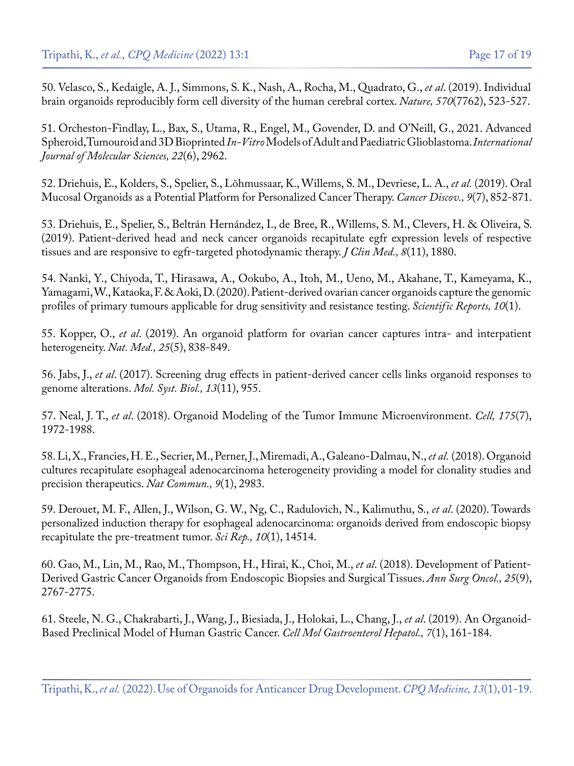50. [Velasco, S., Kedaigle, A. J., Simmons, S. K., Nash, A., Rocha, M., Quadrato, G.,](https://pubmed.ncbi.nlm.nih.gov/31168097/) *et al*. (2019). Individual [brain organoids reproducibly form cell diversity of the human cerebral cortex.](https://pubmed.ncbi.nlm.nih.gov/31168097/) *Nature, 570*(7762), 523-527.

51. [Orcheston-Findlay, L., Bax, S., Utama, R., Engel, M., Govender, D. and O'Neill, G., 2021. Advanced](https://pubmed.ncbi.nlm.nih.gov/33803967/) Spheroid, Tumouroid and 3D Bioprinted *In-Vitro* [Models of Adult and Paediatric Glioblastoma.](https://pubmed.ncbi.nlm.nih.gov/33803967/) *International [Journal of Molecular Sciences, 22](https://pubmed.ncbi.nlm.nih.gov/33803967/)*(6), 2962.

52. [Driehuis, E., Kolders, S., Spelier, S., Lõhmussaar, K., Willems, S. M., Devriese, L. A.,](https://pubmed.ncbi.nlm.nih.gov/31053628/) *et al.* (2019). Oral [Mucosal Organoids as a Potential Platform for Personalized Cancer Therapy.](https://pubmed.ncbi.nlm.nih.gov/31053628/) *Cancer Discov., 9*(7), 852-871.

53. [Driehuis, E., Spelier, S., Beltrán Hernández, I., de Bree, R., Willems, S. M., Clevers, H. & Oliveira, S.](https://pubmed.ncbi.nlm.nih.gov/31694307/) [\(2019\). Patient-derived head and neck cancer organoids recapitulate egfr expression levels of respective](https://pubmed.ncbi.nlm.nih.gov/31694307/) [tissues and are responsive to egfr-targeted photodynamic therapy.](https://pubmed.ncbi.nlm.nih.gov/31694307/) *J Clin Med., 8*(11), 1880.

54. [Nanki, Y., Chiyoda, T., Hirasawa, A., Ookubo, A., Itoh, M., Ueno, M., Akahane, T., Kameyama, K.,](https://www.nature.com/articles/s41598-020-69488-9)  [Yamagami, W., Kataoka, F. & Aoki, D. \(2020\). Patient-derived ovarian cancer organoids capture the genomic](https://www.nature.com/articles/s41598-020-69488-9) [profiles of primary tumours applicable for drug sensitivity and resistance testing.](https://www.nature.com/articles/s41598-020-69488-9) *Scientific Reports, 10*(1).

55. Kopper, O., *et al*[. \(2019\). An organoid platform for ovarian cancer captures intra- and interpatient](https://pubmed.ncbi.nlm.nih.gov/31011202/) [heterogeneity.](https://pubmed.ncbi.nlm.nih.gov/31011202/) *Nat. Med., 25*(5), 838-849.

56. Jabs, J., *et al*[. \(2017\). Screening drug effects in patient-derived cancer cells links organoid responses to](https://pubmed.ncbi.nlm.nih.gov/29180611/) [genome alterations.](https://pubmed.ncbi.nlm.nih.gov/29180611/) *Mol. Syst. Biol., 13*(11), 955.

57. Neal, J. T., *et al*[. \(2018\). Organoid Modeling of the Tumor Immune Microenvironment.](https://pubmed.ncbi.nlm.nih.gov/30550791/) *Cell, 175*(7), [1972-1988.](https://pubmed.ncbi.nlm.nih.gov/30550791/)

58. [Li, X., Francies, H. E., Secrier, M., Perner, J., Miremadi, A., Galeano-Dalmau, N.,](https://pubmed.ncbi.nlm.nih.gov/30061675/) *et al.* (2018). Organoid [cultures recapitulate esophageal adenocarcinoma heterogeneity providing a model for clonality studies and](https://pubmed.ncbi.nlm.nih.gov/30061675/) [precision therapeutics.](https://pubmed.ncbi.nlm.nih.gov/30061675/) *Nat Commun., 9*(1), 2983.

59. [Derouet, M. F., Allen, J., Wilson, G. W., Ng, C., Radulovich, N., Kalimuthu, S.,](https://pubmed.ncbi.nlm.nih.gov/32884042/) *et al*. (2020). Towards [personalized induction therapy for esophageal adenocarcinoma: organoids derived from endoscopic biopsy](https://pubmed.ncbi.nlm.nih.gov/32884042/)  [recapitulate the pre-treatment tumor.](https://pubmed.ncbi.nlm.nih.gov/32884042/) *Sci Rep., 10*(1), 14514.

60. [Gao, M., Lin, M., Rao, M., Thompson, H., Hirai, K., Choi, M.,](https://pubmed.ncbi.nlm.nih.gov/30003451/) *et al*. (2018). Development of Patient-[Derived Gastric Cancer Organoids from Endoscopic Biopsies and Surgical Tissues.](https://pubmed.ncbi.nlm.nih.gov/30003451/) *Ann Surg Oncol., 25*(9), [2767-2775.](https://pubmed.ncbi.nlm.nih.gov/30003451/)

61. [Steele, N. G., Chakrabarti, J., Wang, J., Biesiada, J., Holokai, L., Chang, J.,](https://pubmed.ncbi.nlm.nih.gov/30522949/) *et al*. (2019). An Organoid-[Based Preclinical Model of Human Gastric Cancer.](https://pubmed.ncbi.nlm.nih.gov/30522949/) *Cell Mol Gastroenterol Hepatol., 7*(1), 161-184.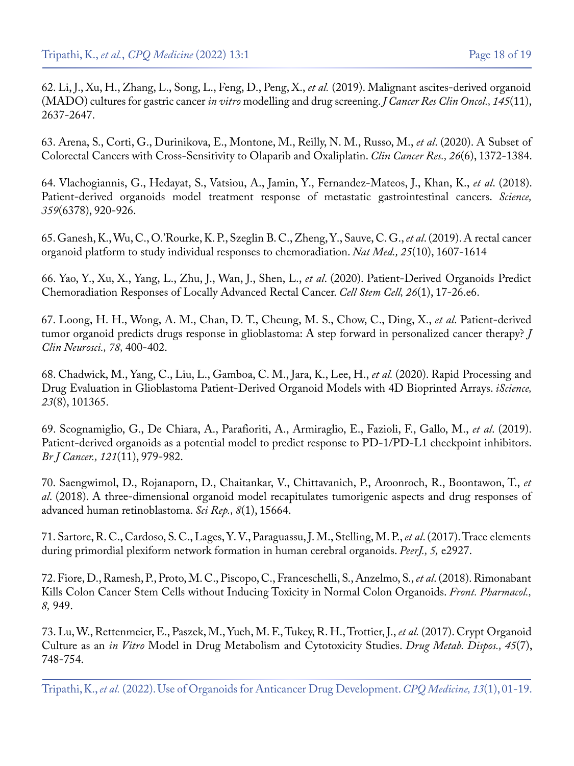62. [Li, J., Xu, H., Zhang, L., Song, L., Feng, D., Peng, X.,](https://pubmed.ncbi.nlm.nih.gov/31598791/) *et al.* (2019). Malignant ascites-derived organoid [\(MADO\) cultures for gastric cancer](https://pubmed.ncbi.nlm.nih.gov/31598791/) *in vitro* modelling and drug screening. *J Cancer Res Clin Oncol., 145*(11), [2637-2647.](https://pubmed.ncbi.nlm.nih.gov/31598791/)

63. [Arena, S., Corti, G., Durinikova, E., Montone, M., Reilly, N. M., Russo, M.,](https://pubmed.ncbi.nlm.nih.gov/31831554/) *et al*. (2020). A Subset of [Colorectal Cancers with Cross-Sensitivity to Olaparib and Oxaliplatin.](https://pubmed.ncbi.nlm.nih.gov/31831554/) *Clin Cancer Res., 26*(6), 1372-1384.

64. [Vlachogiannis, G., Hedayat, S., Vatsiou, A., Jamin, Y., Fernandez-Mateos, J., Khan, K.,](https://pubmed.ncbi.nlm.nih.gov/29472484/) *et al*. (2018). [Patient-derived organoids model treatment response of metastatic gastrointestinal cancers.](https://pubmed.ncbi.nlm.nih.gov/29472484/) *Science, 359*[\(6378\), 920-926.](https://pubmed.ncbi.nlm.nih.gov/29472484/)

65. [Ganesh, K., Wu, C., O.'Rourke, K. P., Szeglin B. C., Zheng, Y., Sauve, C. G.,](https://pubmed.ncbi.nlm.nih.gov/31591597/) *et al*. (2019). A rectal cancer [organoid platform to study individual responses to chemoradiation.](https://pubmed.ncbi.nlm.nih.gov/31591597/) *Nat Med., 25*(10), 1607-1614

66. [Yao, Y., Xu, X., Yang, L., Zhu, J., Wan, J., Shen, L.,](https://pubmed.ncbi.nlm.nih.gov/31761724/) *et al*. (2020). Patient-Derived Organoids Predict [Chemoradiation Responses of Locally Advanced Rectal Cancer.](https://pubmed.ncbi.nlm.nih.gov/31761724/) *Cell Stem Cell, 26*(1), 17-26.e6.

67. [Loong, H. H., Wong, A. M., Chan, D. T., Cheung, M. S., Chow, C., Ding, X.,](https://pubmed.ncbi.nlm.nih.gov/32340843/) *et al*. Patient-derived [tumor organoid predicts drugs response in glioblastoma: A step forward in personalized cancer therapy?](https://pubmed.ncbi.nlm.nih.gov/32340843/) *J [Clin Neurosci., 78,](https://pubmed.ncbi.nlm.nih.gov/32340843/)* 400-402.

68. [Chadwick, M., Yang, C., Liu, L., Gamboa, C. M., Jara, K., Lee, H.,](https://pubmed.ncbi.nlm.nih.gov/32731171/) *et al.* (2020). Rapid Processing and [Drug Evaluation in Glioblastoma Patient-Derived Organoid Models with 4D Bioprinted Arrays.](https://pubmed.ncbi.nlm.nih.gov/32731171/) *iScience, 23*[\(8\), 101365.](https://pubmed.ncbi.nlm.nih.gov/32731171/)

69. [Scognamiglio, G., De Chiara, A., Parafioriti, A., Armiraglio, E., Fazioli, F., Gallo, M.,](https://pubmed.ncbi.nlm.nih.gov/31666667/) *et al*. (2019). [Patient-derived organoids as a potential model to predict response to PD-1/PD-L1 checkpoint inhibitors.](https://pubmed.ncbi.nlm.nih.gov/31666667/) *[Br J Cancer., 121](https://pubmed.ncbi.nlm.nih.gov/31666667/)*(11), 979-982.

70. [Saengwimol, D., Rojanaporn, D., Chaitankar, V., Chittavanich, P., Aroonroch, R., Boontawon, T.,](https://pubmed.ncbi.nlm.nih.gov/30353124/) *et al*[. \(2018\). A three-dimensional organoid model recapitulates tumorigenic aspects and drug responses of](https://pubmed.ncbi.nlm.nih.gov/30353124/) [advanced human retinoblastoma.](https://pubmed.ncbi.nlm.nih.gov/30353124/) *Sci Rep., 8*(1), 15664.

71. [Sartore, R. C., Cardoso, S. C., Lages, Y. V., Paraguassu, J. M., Stelling, M. P.,](https://pubmed.ncbi.nlm.nih.gov/28194309/) *et al*. (2017). Trace elements [during primordial plexiform network formation in human cerebral organoids.](https://pubmed.ncbi.nlm.nih.gov/28194309/) *PeerJ., 5,* e2927.

72. [Fiore, D., Ramesh, P., Proto, M. C., Piscopo, C., Franceschelli, S., Anzelmo, S.,](https://pubmed.ncbi.nlm.nih.gov/29354056/) *et al*. (2018). Rimonabant [Kills Colon Cancer Stem Cells without Inducing Toxicity in Normal Colon Organoids.](https://pubmed.ncbi.nlm.nih.gov/29354056/) *Front. Pharmacol., 8,* [949.](https://pubmed.ncbi.nlm.nih.gov/29354056/)

73. [Lu, W., Rettenmeier, E., Paszek, M., Yueh, M. F., Tukey, R. H., Trottier, J.,](https://pubmed.ncbi.nlm.nih.gov/28468837/) *et al.* (2017). Crypt Organoid Culture as an *in Vitro* [Model in Drug Metabolism and Cytotoxicity Studies.](https://pubmed.ncbi.nlm.nih.gov/28468837/) *Drug Metab. Dispos., 45*(7), [748-754.](https://pubmed.ncbi.nlm.nih.gov/28468837/)